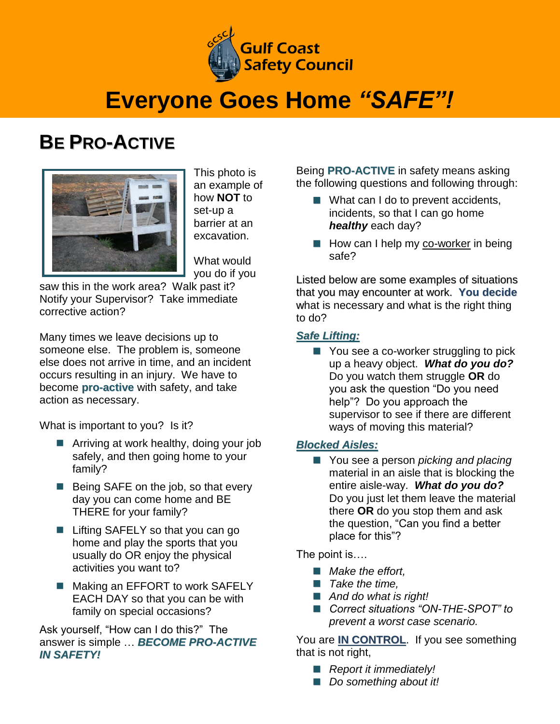

## **Everyone Goes Home** *"SAFE"!*

### **BE PRO-ACTIVE**



This photo is an example of how **NOT** to set-up a barrier at an excavation.

What would you do if you

saw this in the work area? Walk past it? Notify your Supervisor? Take immediate corrective action?

Many times we leave decisions up to someone else. The problem is, someone else does not arrive in time, and an incident occurs resulting in an injury. We have to become **pro-active** with safety, and take action as necessary.

What is important to you? Is it?

- Arriving at work healthy, doing your job safely, and then going home to your family?
- Being SAFE on the job, so that every day you can come home and BE THERE for your family?
- Lifting SAFELY so that you can go home and play the sports that you usually do OR enjoy the physical activities you want to?
- Making an EFFORT to work SAFELY EACH DAY so that you can be with family on special occasions?

Ask yourself, "How can I do this?" The answer is simple … *BECOME PRO-ACTIVE IN SAFETY!*

Being **PRO-ACTIVE** in safety means asking the following questions and following through:

- What can I do to prevent accidents, incidents, so that I can go home *healthy* each day?
- How can I help my co-worker in being safe?

Listed below are some examples of situations that you may encounter at work. **You decide** what is necessary and what is the right thing to do?

#### *Safe Lifting:*

■ You see a co-worker struggling to pick up a heavy object. *What do you do?* Do you watch them struggle **OR** do you ask the question "Do you need help"? Do you approach the supervisor to see if there are different ways of moving this material?

#### *Blocked Aisles:*

■ You see a person *picking and placing* material in an aisle that is blocking the entire aisle-way. *What do you do?* Do you just let them leave the material there **OR** do you stop them and ask the question, "Can you find a better place for this"?

The point is….

- *Make the effort,*
- *Take the time,*
- *And do what is right!*
- Correct situations "ON-THE-SPOT" to *prevent a worst case scenario.*

You are **IN CONTROL**. If you see something that is not right,

- *Report it immediately!*
- *Do something about it!*